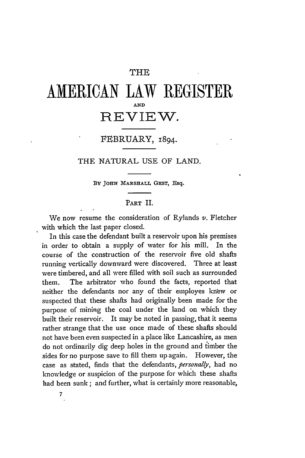## THE

# **AMERICAN** LAW REGISTER **AND REVIEW.**

### FEBRUARY, 1894.

#### THE NATURAL USE OF LAND.

BY **JOHN MARSHALL GEST,** Esq.

#### PART II.

We now resume the consideration of Rylands  $v$ . Fletcher with which the last paper closed.

In this case the defendant built a reservoir upon his premises in order to obtain a supply of water for his mill. In the course of the construction of the reservoir five old shafts running vertically downward were discovered. Three at least were timbered, and all were filled with soil such as surrounded them. The arbitrator who found the facts, reported that neither the defendants nor any of their employes knew or suspected that these shafts had originally been made for the purpose of mining the coal under the land on which they built their reservoir. It may be noted in passing, that it seems rather strange that the use once made of these shafts should not have been even suspected in a place like Lancashire, as men do not ordinarily dig deep holes in the ground and timber the sides for no purpose save to fill them up again. However, the case as stated, finds that the defendants, *personaly,* had no knowledge or suspicion of the purpose for which these shafts had been sunk; and further, what is certainly more reasonable,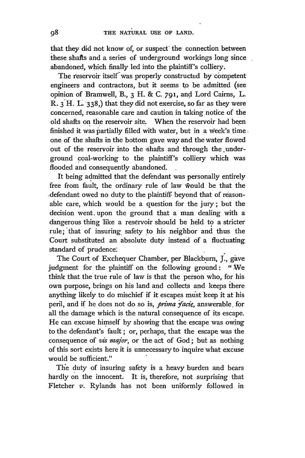that they did not know of, or suspect the connection between these shafts and a series of underground workings long since abandoned, which finally led into the plaintiff's colliery.

The reservoir itself was properly constructed by competent engineers and contractors, but it seems to be admitted (see opinion of Bramwell, B., 3 H. & C. **791,** and Lord Cairns, L. R. 3"H. L. 338,) that they did not exercise, so far as they were concerned, reasonable care and caution in taking notice of the old shafts on the reservoir site. When the reservoir had been finished it was partially filled with water, but in a Week's time one of the shafts in the bottom gave way and the water flowed out of the reservoir into the shafts and through the underground coal-working to the plaintiff's colliery which was flooded and consequently abandoned.

It being admitted that the defendant was personally entirely free from fault, the ordinary rule of law would be that the defendant owed no duty to the plaintiff beyond that of reasonable care, which would be a question for the jury; but the decision went. upon the ground that a man dealing with a dangerous thing like a reservoir should be held to a stricter rule; that of insuring, safety to his neighbor and thus the Court substituted an absolute duty instead of a fluctuating standard of prudence:

The Court of Exchequer Chamber, per Blackburn, **J.,** gave judgment for the plaintiff on the following ground: "We think that the true rule of law is that the person who, for his own purpose, brings on his land and collects and keeps there anything likely to do mischief if it escapes must keep it at his peril, and if he does not do so is, *prima facie*, answerable for all the damage which is the natural consequence of its escape. He can excuse himself by showing that the escape was owing to the defendant's fault; or, perhaps, that the escape was the consequence of *vis major,* or the act of God; but as nothing of this sort exists here it is unnecessary to inquire what excuse would be sufficient."

The duty of insuring safety is a heavy burden and bears hardly on the innocent. It is, therefore, not surprising that Fletcher *v*. Rylands has not been uniformly followed in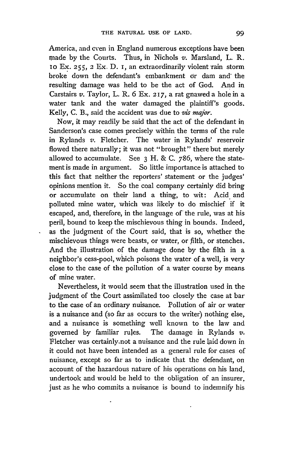America, and even in England numerous exceptions have been made **by** the Courts. Thus, in Nichols v. Marsland, L. R. **io** Ex. **255, 2 Ex. D. i,** an extraordinarily violent rain storm broke down the defendant's embankment **or** dam and' the resulting damage was held to be the act of God. And in Carstairs *z.* Taylor, L. R. **6** Ex. **217,** a rat gnawed a hole in a water tank and the water damaged the plaintiff's goods. Kelly, **C.** B., said the accident was due to *vis major.*

Now, it may readily be said that the act of the defendant in Sanderson's case comes precisely within the terms of the rule in Rylands v. Fletcher. The water in Rylands' reservoir flowed there naturally; it was not "brought" there but merely allowed to accumulate. See **3** H. **& C. 786,** where the statement is made in argument. So little importance is attached to this fact that neither the reporters' statement or the judges' opinions mention it. So the coal company certainly did bring or accumulate on their land a thing, to wit: Acid and polluted mine water, which was likely to do mischief if it escaped, and, therefore, in the language of the rule, was at his peril, bound to keep the mischievous thing in bounds. Indeed, as the judgment of the Court said, that is so, whether the mischievous things were beasts, or water, or filth, or stenches. And the illustration of the damage done **by** the filth in a neighbor's cess-pool, which poisons the water of a well, is very close to the case of the pollution of a water course **by** means of mine water.

Nevertheless, it would seem that the illustration used in the judgment of the Court assimilated too closely the case at bar to the case of an ordinary nuisance. Pollution of air or water is a nuisance and (so far as occurs to the writer) nothing else, and a nuisance is something well known to the law and governed **by** familiar rules. The damage in Rylands v. Fletcher was certainly.not a nuisance and the rule laid down in it could not have been intended as a general rule for cases of nuisance, except so far as to indicate that the defendant, on account of the hazardous nature of his operations on his land, undertook and would be held to the obligation of an insurer, just as he who commits a nuisance is bound to indemnify his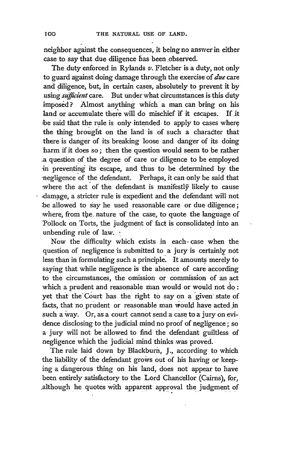neighbor against the consequences, it being no answer in either case to say that due diligence has been .observed.

The duty enforced in Rylands *v*. Fletcher is a duty, not only to guard against doing damage through the exercise of *due* care and diligence, but, in certain cases, absolutely to prevent it by using *sufrient* care. But under what circumstances is this duty imposed? Almost anything which a man can bring on his land or accumulate there will do mischief if it escapes. If it be said that the rule is only intended to apply to cases where the thing brought on the land is of such a charadter that there is danger of its breaking loose and danger of its doing harm if it does so; then the question would seem to be rather .a question of the degree of care or diligence to be employed -in preventing its escape, and thus to be determined by the -negligence of the defendant. Perhaps, it can only be said that where the act of the defendant is manifestly likely to cause -damage, a stricter rule is expedient and the defendant will not be allowed to say he used reasonable care or due diligence; where, from the nature of the case, to quote the language of 'Pollock on Torts, the judgment of fact is consolidated into an unbending rule of law. **'**

Now the difficulty which exists in each. case when the question of negligence is submitted to a jury is certainly not less than in formulating such a principle. It amounts merely to saying that while negligence is the absence of care according to the circumstances, the omission or commission of an act which a prudent and reasonable man would or would not do: yet that the' Court has the right to say on a given state of facts, that no prudent or reasonable man would have acted in such a way. Or, as a court cannot send a case to a jury on evidence disclosing to the judicial mind no proof of negligence; so a jury will not be allowed to find the defendant guiltless of negligence which the judicial mind thinks was proved.

The rule laid down by Blackburn, J., according to which the liability of the defendant grovs out of his having or keeping a dangerous thing on his land, does not appear to have been entirely satisfactory to the Lord Chancellor (Cairns), for, ,although he quotes with apparent approval the judgment of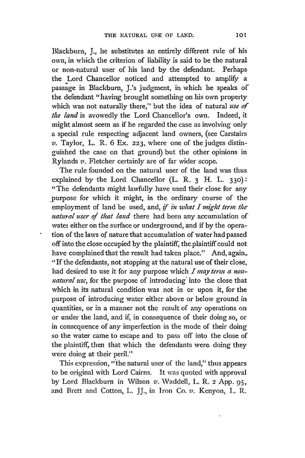Blackburn, J., he substitutes an entirely different rule of his own, in which the criterion of liability is said to be the natural or non-natural user of his land by the defendant. Perhaps the Lord Chancellor noticed and attempted to amplify a passage in Blackburn, J.'s judgment, in which he speaks of the defendant "having brought something on his own property which was not naturally there," but the idea of natural *use of the land* is avowedly the Lord Chancellor's own. Indeed, it might almost seem as if he regarded the case as involving only a special rule respecting adjacent land owners, (see Carstairs v. Taylor, L. R. 6 Ex. **223,** where one of the judges distinguished the case on that ground) but the other opinions in Rylands v. Fletcher certainly are of far wider scope.

The rule founded on the natural user of the land was thus explained by the Lord Chancellor (L. R. 3 H. L. **330):** "The defendants might lawfully have used their close for any purpose for which it might, in the ordinary course of the employment of land be used, and, *if in what I might term the natural user of that land* there had been any accumulation of water either on the surface or underground, and if by the operation of the laws of nature that accumulation of water had passed off into the close occupied by the plaintiff, the.plaintiff could not have complained that the result had taken place." And, again, **"If** the defendants, not stopping at the natural use of their close, had desired to use it for any purpose which *I may term a nonnatural use*, for the purpose of introducing into the close that which in its natural condition was not in or upon it, for the purpose of introducing water either above or below ground in quantities, or in a manner not the result of any operations on or under the land, and if, in consequence of their doing so, or in consequence of any imperfection in the mode of their doing so the water came to escape and to pass off into the close of the plaintiff, then that which the defendants were doing they were doing at their peril."

This expression, "the natural user of the land," thus appears to be original with Lord Cairns. It was quoted with approval by Lord Blackburn in Wilson v. Waddell, L. R. 2 App. *95,* and Brett and Cotton, **L.** JJ., in Iron Co. *v.* Kenyon, **L.** R.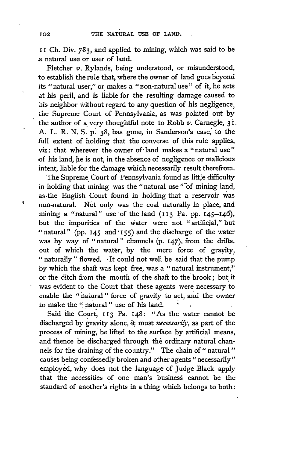i **i Ch.** Div. 783, and applied to mining, which was said to be a natural use or user of land.

Fletcher v. Rylands, being understood, or misunderstood, to establish the rule that, where the owner of land goes beyond its "natural user," or makes a "non-natural use" of it, he acts at his peril, and is liable for the resulting damage caused to his neighbor without regard to any question of his negligence, the Supreme Court of Pennsylvania, as was pointed out by the author of a very thoughtful note to Robb  $v$ . Carnegie, 31. **A.** L..R. **N. S.** p. 38, has gone, in Sanderson's case, to the full extent of holding that the converse of this rule applies, viz: that wherever the owner *of'* land makes a "natural use" of his land, he is not, in the absence of negligence or malicious intent, liable for the damage which necessarily result therefrom.

The Supreme Court of Pennsylvania found as little difficulty in holding that mining was the "natural use "of mining land, as the English Court found in holding that a reservoir was non-natural. Not only was the coal naturally in place, and mining a "natural" use'of the land **(113** Pa. pp. 145-146), but the impurities of the Water were not "artificial," but "natural" (pp. 145 and 155) and the discharge of the water was **by** way of "natural" channels (p. 147), from the drifts, out of which the water, by the mere force of grayity, "naturally" flowed. **-**It could not well be said that.the pump by which the shaft was kept free, was a "natural instrument," or the ditch from the mouth of the shaft to the brook; but it was evident to the Court that these agents were necessary to enable the "natural" force of gravity to act, and the owner to make the " natural" use of his land.

Said the Court, 113 Pa. 148: "As the water cannot be discharged by gravity alone, it must *necessarily*, as part of the process of mining, be lifted to the surface by artificial means, and thence be discharged through the ordinary natural channels for the draining of the country." The chain of "natural" causes being confessedly broken and other agents "necessarily" employed, why does not the language of Judge Black apply that the necessities of one man's business cannot be the standard of another's rights in a thing which belongs to both:

ŧ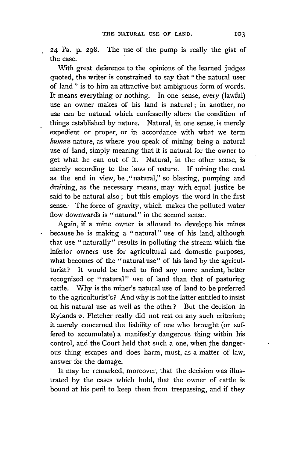24 Pa. p. **298.** The use of the pump is really the gist of the case.

With great deference to the opinions of the learned judges quoted, the writer is constrained to say that "the natural user of land" is to him an attractive but ambiguous form of words. It means everything or nothing. In one sense, every (lawful) use an owner makes of his land is natural; in another, no use can be natural which confessedly alters the condition of things established by nature. Natural, in one sense, is merely expedient or proper, or in accordance with what we term *human* nature, as where you speak of mining being a natural use of land, simply meaning that it is natural for the owner to get what he can out of it. Natural, in the other sense, is merely according to the laws of nature. If mining the coal as the end in view, be ."natural," so blasting, pumping and draining, as the necessary means, may with equal justice be said to be natural also; but this employs the word in the first sense.- The force of gravity, which makes the polluted water flow downwards is "natural" in the second sense.

Again, if a mine owner is allowed to develope his mines because he is making a "natural" use of his land, although that use "naturally" results in polluting the stream which the inferior owners use for agricultural and domestic purposes, what becomes of the "natural use" of his land by the agriculturist? It would be hard to find any more ancient, better recognized or "natural" use of land than that of pasturing cattle. Why is the miner's natural use of land to be preferred to the agriculturist's? And why is not the latter entitled to insist on his natural use as well as the other? But the decision in Rylands *v.* Fletcher really did not rest on any such criterion; it merely concerned the liability of one who brought (or suffered to accumulate) a manifestly dangerous thing within his control, and the Court held that such a one, when the dangerous thing escapes and does harm, must, as a matter of law, answer for the damage.

It may be remarked, moreover, that the decision was illustrated by the cases which hold, that the owner of cattle is bound at his peril to keep them from trespassing, and if they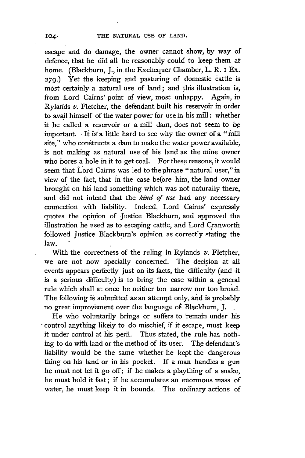escape and do damage, the owner cannot show, by way of defence, that he did all he reasonably could to keep them at home. (Blackburn, J., in. the Exchequer Chamber, L. R. I Ex. 279.) Yet the keeping and pasturing of domestic cattle is most certainly a natural use of land; and this illustration is, from Lord Cairns' point of view, most unhappy. Again, in Rylarids v. Fletcher, the defendant built his reservoir in order to avail himself of the water power for use in his mill: whether it be called a reservoir or a mill dam, does not seem to be important. It is a little hard to see why the owner of a "mill site," who constructs a dam to make the water power available, is not making as natural use of his land as the mine owner who bores a hole in it to get coal. For these reasons, it would seem that Lord Cairns was led to the phrase "natural user," in view of the fact, that in the case before him, the land owner brought on his land something which was not naturally there, and did not intend that the *kind of use* had any necessary connection with liability. Indeed, Lord Cairns' expressly quotes the opinion of Justice Blackburn, and approved the illustration he used as to escaping cattle, and Lord Cranworth followed Justice Blackburn's opinion as correctly stating the law.

With the correctness of the ruling in Rylands  $v$ . Fletcher, we are not now specially concerned. The decision at all events appears perfectly just on its facts, the difficulty (and -it is a serious difficulty) is to bring the case within a general rule which shall at once be neither too narrow nor too broad. The following is submitted as an attempt only, and is probably no great improvement over the language of Blackburn, J.

He who voluntarily brings or suffers to remain under his 'control anything likely to do mischief, if it escape, must keep it under control at his peril. Thus stated, the rule has nothing to do with land or the method of its user. The defendant's liability would be the same whether he kept the dangerous thing on his land or in his pocket. If a man handles a gun he must not let it go off; if he makes a plaything of a snake, he must hold it fast; if he accumulates an enormous mass of water, he must keep it in bounds. The ordinary actions of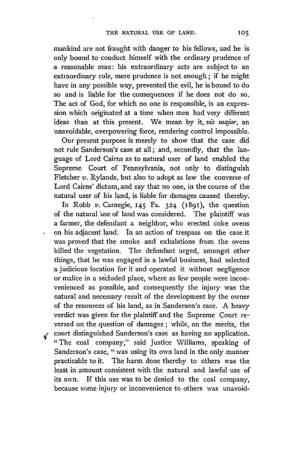mankind are not fraught with danger to his fellows, and he is only bound to conduct himself with the ordinary prudence of a reasonable man: his extraordinary acts are subject to an extraordinary rule, mere prudence is not enough; if he might have in any possible way, prevented the evil, he is bound to do so and is liable for the consequences if he does not do so. The act of God, for which no one is responsible, is an expression which originated at a time when men had very different ideas than at this present. We mean by it, vis *major,* an unavoidable, overpowering force, rendering control impossible.

Our present purpose is merely to show that the case did not rule Sanderson's case at all; and, secondly, that the language of Lord Cairns as to natural user of land enabled the Supreme Court of Pennsylvania, not only to distinguish Fletcher  $v$ . Rylands, but also to adopt as law the converse of Lord Cairns' dictum, and say that no one, in the course of the natural user of his land, is liable for damages caused thereby.

In Robb v. Carnegie, I45 Pa. 324 (1891), the question of the natural use of land was considered. The plaintiff was a farmer, the defendant a neighbor, who erected coke ovens on his adjacent land. In an action of trespass on the case it was proved that the smoke and exhalations from the ovens killed the vegetation. The defendant urged, amongst other things, that he was engaged in a lawful business, had selected a judicious location for it and operated it without negligence or malice in a secluded place, where as few people were inconvenienced as possible, and consequently the injury was the natural and necessary result of the development by the owner of the resources of his land, as in Sanderson's case. A heavy verdict was given for the plaintiff and the Supreme Court reversed on the question of damages ; while, on the merits, the court distinguished Sanderson's case as having no application. "The coal company," said Justice Williams, speaking of Sanderson's case, "was using its own land in the only manner practicable to it. The harm done thereby to others was the least in amount consistent with the natural and lawful use of its own. If this use was to be denied to the coal company, because some injury or inconvenience to others was unavoid-

105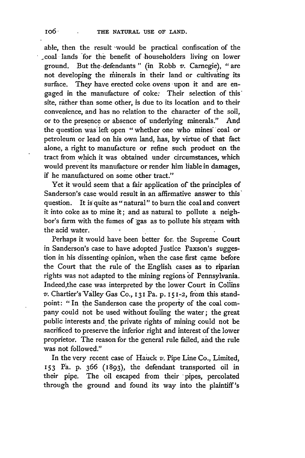able, then the result -would be practical confiscation of the -coal lands for the benefit of householders living on lower ground. But the defendants " (in Robb  $v$ . Carnegie), "are not developing the minerals in their land or cultivating its surface. They have erected coke ovens upon it and are engaged in the manufacture of coke: Their selection of this' site, rather than some other, is due to its location and to their convenience, and has no relation to the character of the soil, or to the presence or absence of underlying minerals." And the question was left open "whether one who mines coal or petroleum or lead on his own land, has, by virtue of that fact alone, a right to manufacture or refine such product on the tract from which it was obtained under circumstances, which would prevent its manufacture or render him liable in damages, if he manufactured on some other tract."

Yet it would seem that a fair application of the principles of Sanderson's case would result in an affirmative answer to this' question. It is quite as "natural" to burn the coal and convert it into coke as to mine it; and as natural to pollute a neighbor's farm with the fumes of 'gas as to pollute his stream with the acid water.

Perhaps it would have been better for. the Supreme Court in Sanderson's case to have adopted Justice Paxson's suggestion in his dissenting opinion, when the case first came before the Court that the rule of the English cases as to riparian rights was not adapted to the mining regions **of** Pennsylvania. Indeed,the case was interpreted by the lower Court in Collins *v.* Chartier's Valley Gas Co., **131** Pa. p. **15** 1-2, from this standpoint: *"In* the Sanderson case the property of the coal company could not be used without fouling the water; the great public interests and the private rights of mining could not be sacrificed to preserve the inferior right and interest of the lower proprietor. The reason for the general rule failed, and the rule was not followed."

In the very recent case of Hauck v. Pipe Line Co., Limited, **153** Pa. p. 366 (1893), the defendant transported oil in their pipe. The oil escaped from their pipes, percolated through the ground and found its way into the plaintiff's

 $106<sub>1</sub>$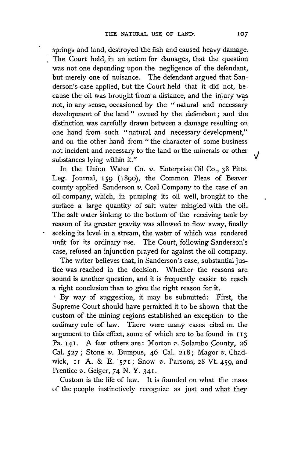springs and land, destroyed the fish and caused heavy damage. The Court held, in an action for damages, that the question was not one depending upon the negligence of the defendant, but merely one of nuisance. The defendant argued that Sanderson's case applied, but the Court held that it did not, be cause the oil was brought from a distance, and the injury was not, in any sense, occasioned by the "natural and necessary development of the land" owned by the defendant; and the distinction was carefully drawn between a damage resulting on one hand from such "natural and necessary development," and on the other hand from "the character of some business not incident and necessary to the land or the minerals or other substances lying within it."

In the Union Water Co. *v.* Enterprise Oil Co., 38 Pitts. Leg. Journal, **159** (i89o), the Common Pleas of Beaver county applied Sanderson *v.* Coal Company to the case of an oil company, which, in pumping its oil well, brought to the surface a large quantity of salt water mingled with the oil. The salt water sinking to the bottom of the receiving tank by reason of its greater gravity was allowed to flow away, finally seeking its level in a stream, the water of which was rendered unfit for its ordinary use. The Court, following Sanderson's case, refused an injunction prayed for against the oil company.

The writer believes that, in Sanderson's case, substantial justice was reached in the decision. Whether the reasons are sound is another question, and it is frequently easier to reach a right conclusion than to give the right reason for it.<br>**<sup>1</sup>** By way of suggestion, it may be submitted: First, the

Supreme Court should have permitted it to be shown that the custom of the mining regions established an exception to the ordinary rule of law. There were many cases cited on the argument to this effect, some of which are to be found in **I 13** Pa. 141. A few others are: Morton v. Solambo County, 26 Cal. **527;** Stone v. Bumpus, 46 Cal. **218;** Magor *v.* Chadwick, **ii** A. & **E. '571;** Snow v. Parsons, 28 Vt. 459, and Prentice *v.* Geiger, *74* N. Y. 341.

Custom is the life of law. It is founded on what the mass **of** the people instinctively recognize as just and what they  $\sqrt{2}$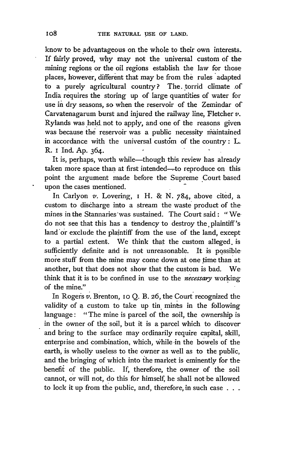know to be advantageous on the whole to their own interests. If fairly proved, why may not the universal custom of the mining regions or the oil regions establish the law for those places, however, different that may be from the rules adapted to a purely agricultural country? The. torrid climate of India requires the storing up of large quantities of water for use in dry seasons, so when the reservoir of the Zemindar of Carvatenagarum burst and injured the railway line, Fletcher **v.** Rylands was held not to apply, and one of the reasons given was because the reservoir was a public necessity maintained in accordance with the universal custom of the country: L. R. i Ind. **Ap.** 364.

It is, perhaps, worth while-though this review has already taken more space than at first intended-to reproduce on this point the argument made before the Supreme Court based upon the cases mentioned.

In Carlyon v. Lovering, I H. & N. 784, above cited, a custom to discharge into a stream the waste product of themines in the Stannaries'was sustained. The Court said: "We do not see that this has a tendency to destroy the, plaintiff's land'or exclude the plaintiff from the use of the land, except to a partial extent. We think that the custom alleged, is sufficiently definite and is not unreasonable. It is possible. more stuff from the- mine may come down at one time than at another, but that does not show that the custom is bad. We think that it is to be confined in use to the *necessary* working of the mine."

In Rogers v. Brenton, io Q. B. 26, the Court recognized the validity of a custom to take up tin mines in the following language: "The mine is parcel of the soil, the ownership is in the owner of the soil, but it is a parcel which to discover and bring to the surface may ordinarily require capital, skill, enterprise and combination, which, while in the bowels of the earth, is wholly useless to the owner as well as to the public, and the bringing of which into the market is eminently for the benefit of the public. If, therefore, the owner of the soil cannot, or will not, do this for himself, he shall not-be allowed to lock it up from the public, and, therefore, in such case **. . .**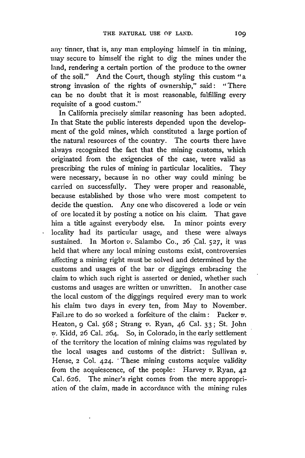any tinner, that is, any man employing himself in tin mining, may secure to himself *the* right to dig the mines under the land, rendering a certain portion of the produce to the owner of the soil." And the Court, though styling this custom "a strong invasion of the rights of ownership," said: "There can be no doubt that it is most reasonable, fulfilling every requisite of a good custom."

In California precisely similar reasoning has been adopted. In that State the public interests depended upon the development of the gold mines, which constituted a large portion of the natural resources of the country. The courts there have always recognized the fact that the mining customs, which originated from the exigencies of the case, were valid as prescribing the rules of mining in particular localities. They were necessary, because in no other way could mining be carried on successfully. They were proper and reasonable, because established by those who were most competent to decide the question. Any one who discovered a lode or vein of ore located it by posting a notice on his claim. That gave him a title against everybody else. In minor points every locality had its particular usage, and these were always sustained. In Morton v. Salambo Co., 26 Cal. **527,** it was held that where any local mining customs exist, controversies affecting a mining right must be solved and determined by the customs and usages of the bar or diggings embracing the claim to which such right is asserted or denied, whether such customs and usages are written or unwritten. In another case the local custom of the diggings required every man to work his claim two days in every ten, from May to November. Failare to do so worked a forfeiture of the claim: Packer  $v$ . Heaton, 9 Cal. 568; Strang v. Ryan, 46 Cal. 33; St. John *v.* Kidd, 26 Cal. 264. So, in Colorado, in the early settlement of the territory the location of mining claims was regulated by the local usages and customs of the district: Sullivan  $v$ . Hense, 2 Col. 424. 'These mining customs acquire validity from the acquiescence, of the people: Harvey  $v$ . Ryan,  $42$ Cal. 626. The miner's right comes from the mere appropriation of the claim, made in accordance with the mining rules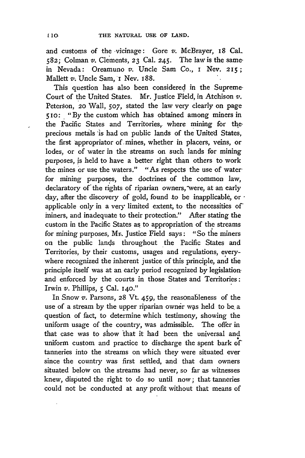and customs of the -vicinage: Gore v. McBrayer, 18 Cal-**582;** Colman v. Clements, **23** Cal. 245. The law is the samein Nevada: Oreamuno v. Uncle Sam Co., i Nev. 215; Mallett v. Uncle Sam, **i** Nev. i88.

This question has also been considered in the Supreme-Court of the United States. Mr. Justice Field, in Atchison  $v$ . Peterson, **20** Wall, **507,** stated the law very clearly on page 51o: **. "By** the custom which has obtained among miners in the Pacific States and Territories, where mining for theprecious metals is had on public lands of the United States, the first appropriator of.mines, whether in placers, veins, or lodes, or of water in the streams on such lands for mining purposes, is held to have a better right than others to work the mines or use the waters." "As respects the use of waterfor mining purposes, the doctrines of the common law, declaratory of the rights of riparian owners, were, at an early day, after the discovery of gold, found to be inapplicable, or  $\cdot$ applicable only in a very limited extent, to the necessities of' ininers, and inadequate to their protection." After stating the custom in the Pacific States as to appropriation of the streams for mining purposes, Mr.. Justice Field says: "So the miners on the public lands throughout the Pacific States and Territories, by their customs, usages and regulations, everywhere recognized the inherent justice of this principle, and the principle itself was at an early period recognized by legislation. and enforced by the courts in those States and Territories: Irwin v. Phillips, **5** Cal. **14o."**

In Snow *v.* Parsons, 28 Vt. 459, the reasonableness of the use of a stream by the upper riparian owner was held to be a question of fact, to determine which testimony, showing the uniform usage of the country, was admissible. The offer in that case was to show that it had been the universal and uniform custom and practice to discharge the spent bark of tanneries into the streams on which they were situated ever since the country was first settled, and that dam owners situated below on the streams had never, so far as witnesses knew, disputed the right to do so until now; that tanneries could not be conducted at any profit without that means of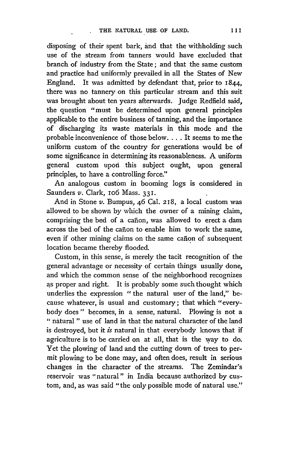disposing of their spent bark, and that the withholding such use of the stream from tanners would have excluded that branch of industry from the State; and that the same custom and practice had uniformly prevailed in all the States of New England. It was admitted by defendant that, prior to I844, there was no tannery on this particular stream and this suit was brought about ten years afterwards. Judge Redfield said, the question "must be determined upon general principles applicable to the entire business of tanning, and the importance of discharging its waste materials in this mode and the probable inconvenience of those below **....** It seems to me the uniform custom of the country for generations would be of some significance in determining its reasonableness. A uniform general custom upon this subject ought, upon general principles, to have a controlling force."

An analogous custom in booming logs is considered in Saunders *v.* Clark, io6 Mass. **331.**

And in Stone v. Bumpus, 46 Cal. 218, a local custom was allowed to be shown by which the owner of a mining claim, comprising the bed of a cañon, was allowed to erect a dam across the bed of the cañon to enable him to work the same, even if other mining claims on the same cañon of subsequent location became thereby flooded.

Custom, in this sense, is merely the tacit recognition of the general advantage or necessity of certain things usually done, and which the common sense of the neighborhood recognizes as proper and right. It is probably some such thought which underlies the expression " the natural user of the land," because whatever, is usual and customary; that which "everybody does" becomes, in a sense, natural. Plowing is not a " natural " use of land in that the natural character of the land is destroyed, but it *is* natural in that everybody knows that if agriculture is to be carried on at all, that is the way to do. Yet the plowing of land and the cutting down of trees to permit plowing to be done may, and often does, result in serious changes in the character of the streams. The Zemindar's reservoir was "natural" in India because authorized by custom, and, as was said "the only possible mode of natural use."